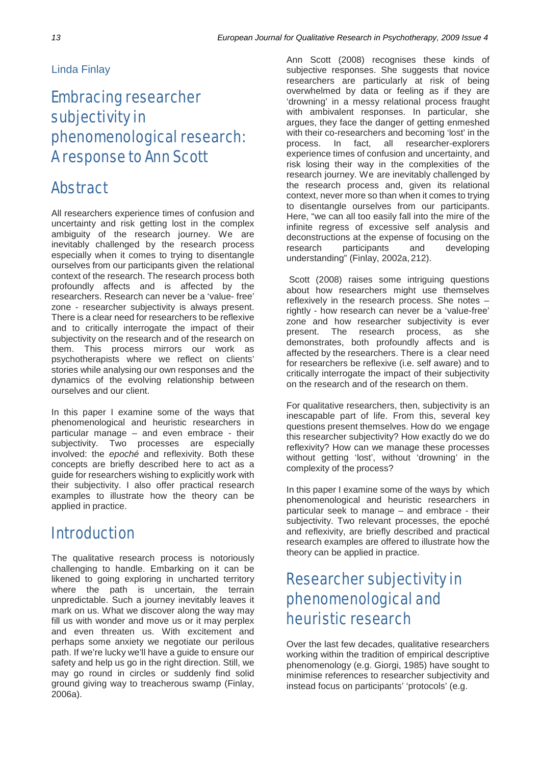#### Linda Finlay

# Embracing researcher subjectivity in phenomenological research: A response to Ann Scott

#### Abstract

All researchers experience times of confusion and uncertainty and risk getting lost in the complex ambiguity of the research journey. We are inevitably challenged by the research process especially when it comes to trying to disentangle ourselves from our participants given the relational context of the research. The research process both profoundly affects and is affected by the researchers. Research can never be a 'value- free' zone - researcher subjectivity is always present. There is a clear need for researchers to be reflexive and to critically interrogate the impact of their subjectivity on the research and of the research on them. This process mirrors our work as psychotherapists where we reflect on clients' stories while analysing our own responses and the dynamics of the evolving relationship between ourselves and our client.

In this paper I examine some of the ways that phenomenological and heuristic researchers in particular manage – and even embrace - their subjectivity. Two processes are especially involved: the *epoché* and reflexivity. Both these concepts are briefly described here to act as a guide for researchers wishing to explicitly work with their subjectivity. I also offer practical research examples to illustrate how the theory can be applied in practice.

#### **Introduction**

The qualitative research process is notoriously challenging to handle. Embarking on it can be likened to going exploring in uncharted territory where the path is uncertain, the terrain unpredictable. Such a journey inevitably leaves it mark on us. What we discover along the way may fill us with wonder and move us or it may perplex and even threaten us. With excitement and perhaps some anxiety we negotiate our perilous path. If we're lucky we'll have a guide to ensure our safety and help us go in the right direction. Still, we may go round in circles or suddenly find solid ground giving way to treacherous swamp (Finlay, 2006a).

Ann Scott (2008) recognises these kinds of subjective responses. She suggests that novice researchers are particularly at risk of being overwhelmed by data or feeling as if they are 'drowning' in a messy relational process fraught with ambivalent responses. In particular, she argues, they face the danger of getting enmeshed with their co-researchers and becoming 'lost' in the<br>process. In fact. all researcher-explorers fact, all researcher-explorers experience times of confusion and uncertainty, and risk losing their way in the complexities of the research journey. We are inevitably challenged by the research process and, given its relational context, never more so than when it comes to trying to disentangle ourselves from our participants. Here, "we can all too easily fall into the mire of the infinite regress of excessive self analysis and deconstructions at the expense of focusing on the<br>research participants and developing participants understanding" (Finlay, 2002a, 212).

Scott (2008) raises some intriguing questions about how researchers might use themselves reflexively in the research process. She notes – rightly - how research can never be a 'value-free' zone and how researcher subjectivity is ever<br>present. The research process, as she research process, demonstrates, both profoundly affects and is affected by the researchers. There is a clear need for researchers be reflexive (i.e. self aware) and to critically interrogate the impact of their subjectivity on the research and of the research on them.

For qualitative researchers, then, subjectivity is an inescapable part of life. From this, several key questions present themselves. How do we engage this researcher subjectivity? How exactly do we do reflexivity? How can we manage these processes without getting 'lost', without 'drowning' in the complexity of the process?

In this paper I examine some of the ways by which phenomenological and heuristic researchers in particular seek to manage – and embrace - their subjectivity. Two relevant processes, the epoché and reflexivity, are briefly described and practical research examples are offered to illustrate how the theory can be applied in practice.

## Researcher subjectivity in phenomenological and heuristic research

Over the last few decades, qualitative researchers working within the tradition of empirical descriptive phenomenology (e.g. Giorgi, 1985) have sought to minimise references to researcher subjectivity and instead focus on participants' 'protocols' (e.g.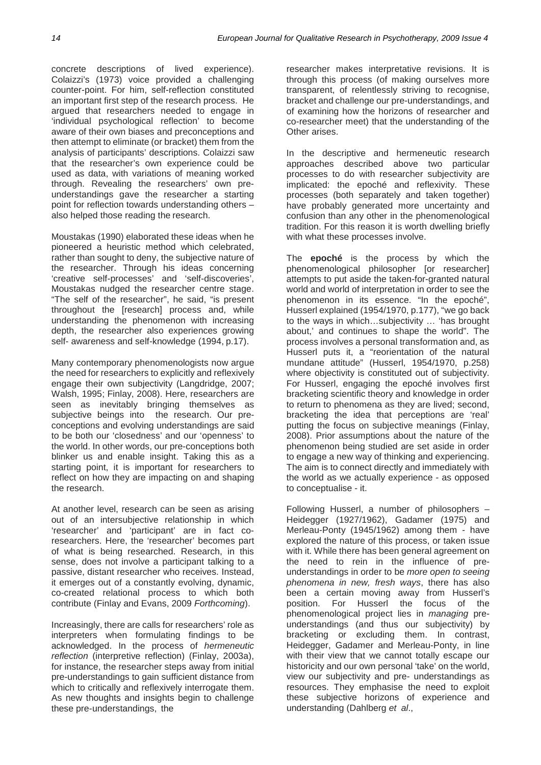concrete descriptions of lived experience). Colaizzi's (1973) voice provided a challenging counter-point. For him, self-reflection constituted an important first step of the research process. He argued that researchers needed to engage in 'individual psychological reflection' to become aware of their own biases and preconceptions and then attempt to eliminate (or bracket) them from the analysis of participants' descriptions. Colaizzi saw that the researcher's own experience could be used as data, with variations of meaning worked through. Revealing the researchers' own preunderstandings gave the researcher a starting point for reflection towards understanding others – also helped those reading the research.

Moustakas (1990) elaborated these ideas when he pioneered a heuristic method which celebrated, rather than sought to deny, the subjective nature of the researcher. Through his ideas concerning 'creative self-processes' and 'self-discoveries', Moustakas nudged the researcher centre stage. "The self of the researcher", he said, "is present throughout the [research] process and, while understanding the phenomenon with increasing depth, the researcher also experiences growing self- awareness and self-knowledge (1994, p.17).

Many contemporary phenomenologists now argue the need for researchers to explicitly and reflexively engage their own subjectivity (Langdridge, 2007; Walsh, 1995; Finlay, 2008). Here, researchers are seen as inevitably bringing themselves as subjective beings into the research. Our preconceptions and evolving understandings are said to be both our 'closedness' and our 'openness' to the world. In other words, our pre-conceptions both blinker us and enable insight. Taking this as a starting point, it is important for researchers to reflect on how they are impacting on and shaping the research.

At another level, research can be seen as arising out of an intersubjective relationship in which 'researcher' and 'participant' are in fact coresearchers. Here, the 'researcher' becomes part of what is being researched. Research, in this sense, does not involve a participant talking to a passive, distant researcher who receives. Instead, it emerges out of a constantly evolving, dynamic, co-created relational process to which both contribute (Finlay and Evans, 2009 *Forthcoming*).

Increasingly, there are calls for researchers' role as interpreters when formulating findings to be acknowledged. In the process of *hermeneutic reflection* (interpretive reflection) (Finlay, 2003a), for instance, the researcher steps away from initial pre-understandings to gain sufficient distance from which to critically and reflexively interrogate them. As new thoughts and insights begin to challenge these pre-understandings, the

researcher makes interpretative revisions. It is through this process (of making ourselves more transparent, of relentlessly striving to recognise, bracket and challenge our pre-understandings, and of examining how the horizons of researcher and co-researcher meet) that the understanding of the Other arises.

In the descriptive and hermeneutic research approaches described above two particular processes to do with researcher subjectivity are implicated: the epoché and reflexivity. These processes (both separately and taken together) have probably generated more uncertainty and confusion than any other in the phenomenological tradition. For this reason it is worth dwelling briefly with what these processes involve.

The **epoché** is the process by which the phenomenological philosopher [or researcher] attempts to put aside the taken-for-granted natural world and world of interpretation in order to see the phenomenon in its essence. "In the epoché", Husserl explained (1954/1970, p.177), "we go back to the ways in which…subjectivity … 'has brought about,' and continues to shape the world". The process involves a personal transformation and, as Husserl puts it, a "reorientation of the natural mundane attitude" (Husserl, 1954/1970, p.258) where objectivity is constituted out of subjectivity. For Husserl, engaging the epoché involves first bracketing scientific theory and knowledge in order to return to phenomena as they are lived; second, bracketing the idea that perceptions are 'real' putting the focus on subjective meanings (Finlay, 2008). Prior assumptions about the nature of the phenomenon being studied are set aside in order to engage a new way of thinking and experiencing. The aim is to connect directly and immediately with the world as we actually experience - as opposed to conceptualise - it.

Following Husserl, a number of philosophers – Heidegger (1927/1962), Gadamer (1975) and Merleau-Ponty (1945/1962) among them - have explored the nature of this process, or taken issue with it. While there has been general agreement on the need to rein in the influence of preunderstandings in order to be *more open to seeing phenomena in new, fresh ways*, there has also been a certain moving away from Husserl's position. For Husserl the focus of the phenomenological project lies in *managing* preunderstandings (and thus our subjectivity) by bracketing or excluding them. In contrast, Heidegger, Gadamer and Merleau-Ponty, in line with their view that we cannot totally escape our historicity and our own personal 'take' on the world, view our subjectivity and pre- understandings as resources. They emphasise the need to exploit these subjective horizons of experience and understanding (Dahlberg *et al*.,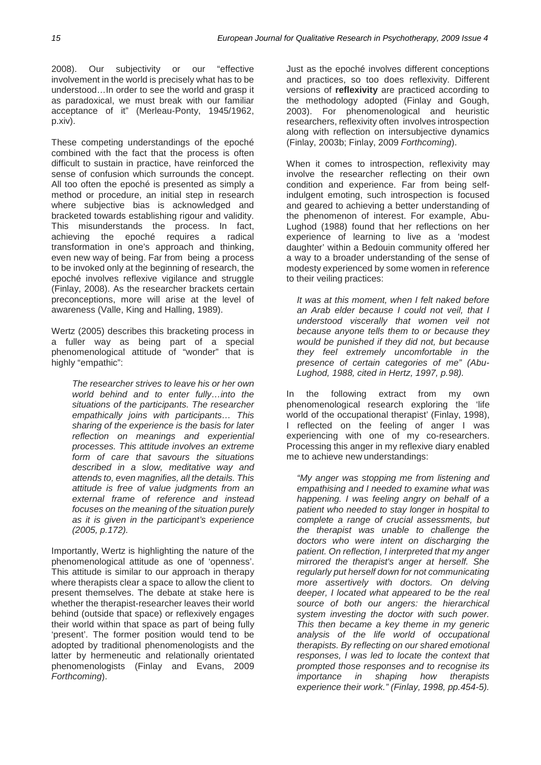2008). Our subjectivity or our "effective involvement in the world is precisely what has to be understood…In order to see the world and grasp it as paradoxical, we must break with our familiar acceptance of it" (Merleau-Ponty, 1945/1962, p.xiv).

These competing understandings of the epoché combined with the fact that the process is often difficult to sustain in practice, have reinforced the sense of confusion which surrounds the concept. All too often the epoché is presented as simply a method or procedure, an initial step in research where subjective bias is acknowledged and bracketed towards establishing rigour and validity. This misunderstands the process. In fact, achieving the epoché requires a radical transformation in one's approach and thinking, even new way of being. Far from being a process to be invoked only at the beginning of research, the epoché involves reflexive vigilance and struggle (Finlay, 2008). As the researcher brackets certain preconceptions, more will arise at the level of awareness (Valle, King and Halling, 1989).

Wertz (2005) describes this bracketing process in a fuller way as being part of a special phenomenological attitude of "wonder" that is highly "empathic":

> *The researcher strives to leave his or her own world behind and to enter fully…into the situations of the participants. The researcher empathically joins with participants… This sharing of the experience is the basis for later reflection on meanings and experiential processes. This attitude involves an extreme form of care that savours the situations described in a slow, meditative way and attends to, even magnifies, all the details. This attitude is free of value judgments from an external frame of reference and instead focuses on the meaning of the situation purely as it is given in the participant's experience (2005, p.172).*

Importantly, Wertz is highlighting the nature of the phenomenological attitude as one of 'openness'. This attitude is similar to our approach in therapy where therapists clear a space to allow the client to present themselves. The debate at stake here is whether the therapist-researcher leaves their world behind (outside that space) or reflexively engages their world within that space as part of being fully 'present'. The former position would tend to be adopted by traditional phenomenologists and the latter by hermeneutic and relationally orientated phenomenologists (Finlay and Evans, 2009 *Forthcoming*).

Just as the epoché involves different conceptions and practices, so too does reflexivity. Different versions of **reflexivity** are practiced according to the methodology adopted (Finlay and Gough, 2003). For phenomenological and heuristic researchers, reflexivity often involves introspection along with reflection on intersubjective dynamics (Finlay, 2003b; Finlay, 2009 *Forthcoming*).

When it comes to introspection, reflexivity may involve the researcher reflecting on their own condition and experience. Far from being selfindulgent emoting, such introspection is focused and geared to achieving a better understanding of the phenomenon of interest. For example, Abu-Lughod (1988) found that her reflections on her experience of learning to live as a 'modest daughter' within a Bedouin community offered her a way to a broader understanding of the sense of modesty experienced by some women in reference to their veiling practices:

*It was at this moment, when I felt naked before an Arab elder because I could not veil, that I understood viscerally that women veil not because anyone tells them to or because they would be punished if they did not, but because they feel extremely uncomfortable in the presence of certain categories of me" (Abu-Lughod, 1988, cited in Hertz, 1997, p.98).*

In the following extract from my own phenomenological research exploring the 'life world of the occupational therapist' (Finlay, 1998), I reflected on the feeling of anger I was experiencing with one of my co-researchers. Processing this anger in my reflexive diary enabled me to achieve new understandings:

*"My anger was stopping me from listening and empathising and I needed to examine what was happening. I was feeling angry on behalf of a patient who needed to stay longer in hospital to complete a range of crucial assessments, but the therapist was unable to challenge the doctors who were intent on discharging the patient. On reflection, I interpreted that my anger mirrored the therapist's anger at herself. She regularly put herself down for not communicating more assertively with doctors. On delving deeper, I located what appeared to be the real source of both our angers: the hierarchical system investing the doctor with such power. This then became a key theme in my generic analysis of the life world of occupational therapists. By reflecting on our shared emotional responses, I was led to locate the context that prompted those responses and to recognise its importance in shaping how therapists experience their work." (Finlay, 1998, pp.454-5).*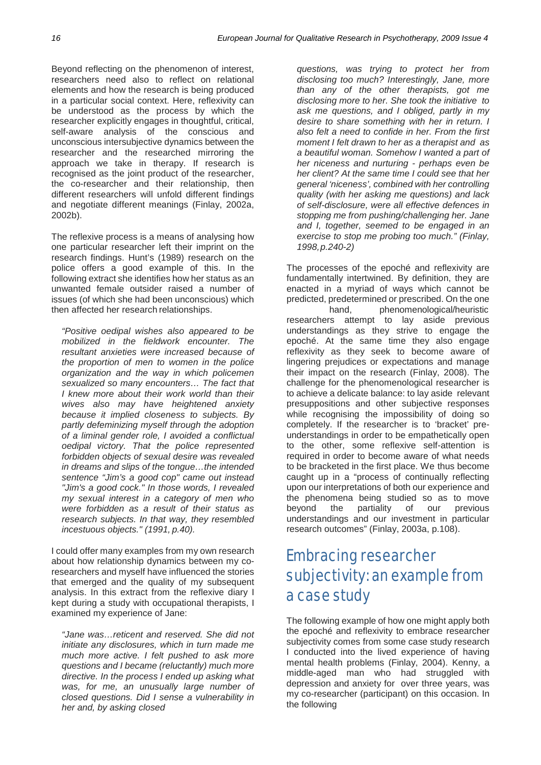Beyond reflecting on the phenomenon of interest, researchers need also to reflect on relational elements and how the research is being produced in a particular social context. Here, reflexivity can be understood as the process by which the researcher explicitly engages in thoughtful, critical, self-aware analysis of the conscious and unconscious intersubjective dynamics between the researcher and the researched mirroring the approach we take in therapy. If research is recognised as the joint product of the researcher, the co-researcher and their relationship, then different researchers will unfold different findings and negotiate different meanings (Finlay, 2002a, 2002b).

The reflexive process is a means of analysing how one particular researcher left their imprint on the research findings. Hunt's (1989) research on the police offers a good example of this. In the following extract she identifies how her status as an unwanted female outsider raised a number of issues (of which she had been unconscious) which then affected her research relationships.

*"Positive oedipal wishes also appeared to be mobilized in the fieldwork encounter. The resultant anxieties were increased because of the proportion of men to women in the police organization and the way in which policemen sexualized so many encounters… The fact that I knew more about their work world than their wives also may have heightened anxiety because it implied closeness to subjects. By partly defeminizing myself through the adoption of a liminal gender role, I avoided a conflictual oedipal victory. That the police represented forbidden objects of sexual desire was revealed in dreams and slips of the tongue…the intended sentence "Jim's a good cop" came out instead "Jim's a good cock." In those words, I revealed my sexual interest in a category of men who were forbidden as a result of their status as research subjects. In that way, they resembled incestuous objects." (1991, p.40).*

I could offer many examples from my own research about how relationship dynamics between my coresearchers and myself have influenced the stories that emerged and the quality of my subsequent analysis. In this extract from the reflexive diary I kept during a study with occupational therapists, I examined my experience of Jane:

*"Jane was…reticent and reserved. She did not initiate any disclosures, which in turn made me much more active. I felt pushed to ask more questions and I became (reluctantly) much more directive. In the process I ended up asking what was, for me, an unusually large number of closed questions. Did I sense a vulnerability in her and, by asking closed*

*questions, was trying to protect her from disclosing too much? Interestingly, Jane, more than any of the other therapists, got me disclosing more to her. She took the initiative to ask me questions, and I obliged, partly in my desire to share something with her in return. I also felt a need to confide in her. From the first moment I felt drawn to her as a therapist and as a beautiful woman. Somehow I wanted a part of her niceness and nurturing - perhaps even be her client? At the same time I could see that her general 'niceness', combined with her controlling quality (with her asking me questions) and lack of self-disclosure, were all effective defences in stopping me from pushing/challenging her. Jane and I, together, seemed to be engaged in an exercise to stop me probing too much." (Finlay, 1998,p.240-2)*

The processes of the epoché and reflexivity are fundamentally intertwined. By definition, they are enacted in a myriad of ways which cannot be predicted, predetermined or prescribed. On the one hand, phenomenological/heuristic researchers attempt to lay aside previous understandings as they strive to engage the epoché. At the same time they also engage reflexivity as they seek to become aware of lingering prejudices or expectations and manage their impact on the research (Finlay, 2008). The challenge for the phenomenological researcher is to achieve a delicate balance: to lay aside relevant presuppositions and other subjective responses while recognising the impossibility of doing so completely. If the researcher is to 'bracket' preunderstandings in order to be empathetically open to the other, some reflexive self-attention is required in order to become aware of what needs to be bracketed in the first place. We thus become caught up in a "process of continually reflecting upon our interpretations of both our experience and the phenomena being studied so as to move beyond the partiality of our previous understandings and our investment in particular research outcomes" (Finlay, 2003a, p.108).

## Embracing researcher subjectivity: an example from a case study

The following example of how one might apply both the epoché and reflexivity to embrace researcher subjectivity comes from some case study research I conducted into the lived experience of having mental health problems (Finlay, 2004). Kenny, a middle-aged man who had struggled with depression and anxiety for over three years, was my co-researcher (participant) on this occasion. In the following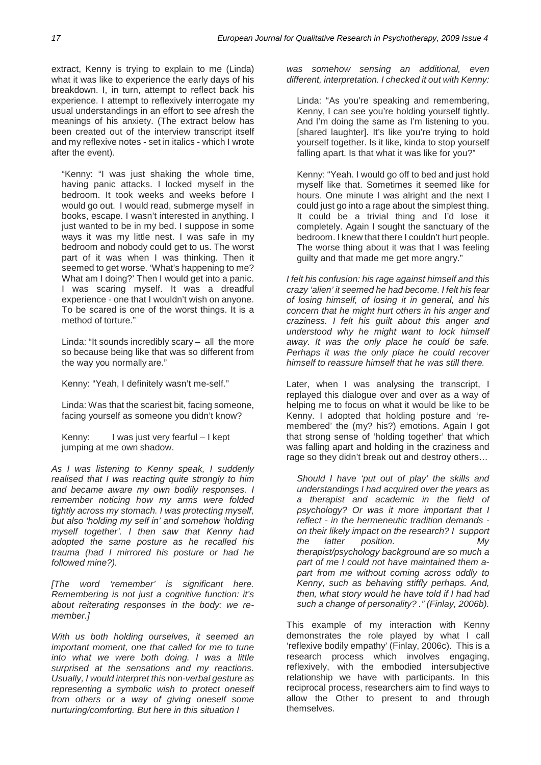extract, Kenny is trying to explain to me (Linda) what it was like to experience the early days of his breakdown. I, in turn, attempt to reflect back his experience. I attempt to reflexively interrogate my usual understandings in an effort to see afresh the meanings of his anxiety. (The extract below has been created out of the interview transcript itself and my reflexive notes - set in italics - which I wrote after the event).

"Kenny: "I was just shaking the whole time, having panic attacks. I locked myself in the bedroom. It took weeks and weeks before I would go out. I would read, submerge myself in books, escape. I wasn't interested in anything. I just wanted to be in my bed. I suppose in some ways it was my little nest. I was safe in my bedroom and nobody could get to us. The worst part of it was when I was thinking. Then it seemed to get worse. 'What's happening to me? What am I doing?' Then I would get into a panic. I was scaring myself. It was a dreadful experience - one that I wouldn't wish on anyone. To be scared is one of the worst things. It is a method of torture."

Linda: "It sounds incredibly scary – all the more so because being like that was so different from the way you normally are."

Kenny: "Yeah, I definitely wasn't me-self."

Linda: Was that the scariest bit, facing someone, facing yourself as someone you didn't know?

Kenny: I was just very fearful – I kept jumping at me own shadow.

*As I was listening to Kenny speak, I suddenly realised that I was reacting quite strongly to him and became aware my own bodily responses. I remember noticing how my arms were folded tightly across my stomach. I was protecting myself, but also 'holding my self in' and somehow 'holding myself together'. I then saw that Kenny had adopted the same posture as he recalled his trauma (had I mirrored his posture or had he followed mine?).*

*[The word 'remember' is significant here. Remembering is not just a cognitive function: it's about reiterating responses in the body: we remember.]*

*With us both holding ourselves, it seemed an important moment, one that called for me to tune into what we were both doing. I was a little surprised at the sensations and my reactions. Usually, I would interpret this non-verbal gesture as representing a symbolic wish to protect oneself from others or a way of giving oneself some nurturing/comforting. But here in this situation I*

*was somehow sensing an additional, even different, interpretation. I checked it out with Kenny:*

Linda: "As you're speaking and remembering, Kenny, I can see you're holding yourself tightly. And I'm doing the same as I'm listening to you. [shared laughter]. It's like you're trying to hold yourself together. Is it like, kinda to stop yourself falling apart. Is that what it was like for you?"

Kenny: "Yeah. I would go off to bed and just hold myself like that. Sometimes it seemed like for hours. One minute I was alright and the next I could just go into a rage about the simplest thing. It could be a trivial thing and I'd lose it completely. Again I sought the sanctuary of the bedroom. I knew that there I couldn't hurt people. The worse thing about it was that I was feeling guilty and that made me get more angry."

*I felt his confusion: his rage against himself and this crazy 'alien' it seemed he had become. I felt his fear of losing himself, of losing it in general, and his concern that he might hurt others in his anger and craziness. I felt his guilt about this anger and understood why he might want to lock himself away. It was the only place he could be safe. Perhaps it was the only place he could recover himself to reassure himself that he was still there.*

Later, when I was analysing the transcript, I replayed this dialogue over and over as a way of helping me to focus on what it would be like to be Kenny. I adopted that holding posture and 'remembered' the (my? his?) emotions. Again I got that strong sense of 'holding together' that which was falling apart and holding in the craziness and rage so they didn't break out and destroy others…

*Should I have 'put out of play' the skills and understandings I had acquired over the years as a therapist and academic in the field of psychology? Or was it more important that I reflect - in the hermeneutic tradition demands on their likely impact on the research? I support the latter position. My therapist/psychology background are so much a part of me I could not have maintained them apart from me without coming across oddly to Kenny, such as behaving stiffly perhaps. And, then, what story would he have told if I had had such a change of personality? ." (Finlay, 2006b).*

This example of my interaction with Kenny demonstrates the role played by what I call 'reflexive bodily empathy' (Finlay, 2006c). This is a research process which involves engaging, reflexively, with the embodied intersubjective relationship we have with participants. In this reciprocal process, researchers aim to find ways to allow the Other to present to and through themselves.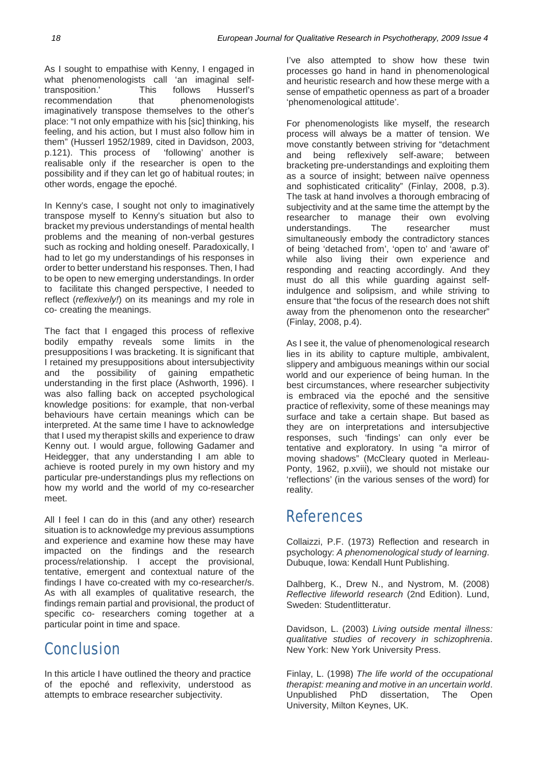As I sought to empathise with Kenny, I engaged in what phenomenologists call 'an imaginal self-<br>transposition.' This follows Husserl's transposition.' This recommendation that phenomenologists imaginatively transpose themselves to the other's place: "I not only empathize with his [sic] thinking, his feeling, and his action, but I must also follow him in them" (Husserl 1952/1989, cited in Davidson, 2003, p.121). This process of 'following' another is realisable only if the researcher is open to the possibility and if they can let go of habitual routes; in other words, engage the epoché.

In Kenny's case, I sought not only to imaginatively transpose myself to Kenny's situation but also to bracket my previous understandings of mental health problems and the meaning of non-verbal gestures such as rocking and holding oneself. Paradoxically, I had to let go my understandings of his responses in order to better understand his responses. Then, I had to be open to new emerging understandings. In order to facilitate this changed perspective, I needed to reflect (*reflexively!*) on its meanings and my role in co- creating the meanings.

The fact that I engaged this process of reflexive bodily empathy reveals some limits in the presuppositions I was bracketing. It is significant that I retained my presuppositions about intersubjectivity<br>and the possibility of gaining empathetic of gaining understanding in the first place (Ashworth, 1996). I was also falling back on accepted psychological knowledge positions: for example, that non-verbal behaviours have certain meanings which can be interpreted. At the same time I have to acknowledge that I used my therapist skills and experience to draw Kenny out. I would argue, following Gadamer and Heidegger, that any understanding I am able to achieve is rooted purely in my own history and my particular pre-understandings plus my reflections on how my world and the world of my co-researcher meet.

All I feel I can do in this (and any other) research situation is to acknowledge my previous assumptions and experience and examine how these may have impacted on the findings and the research process/relationship. I accept the provisional, tentative, emergent and contextual nature of the findings I have co-created with my co-researcher/s. As with all examples of qualitative research, the findings remain partial and provisional, the product of specific co- researchers coming together at a particular point in time and space.

# Conclusion

In this article I have outlined the theory and practice of the epoché and reflexivity, understood as attempts to embrace researcher subjectivity.

I've also attempted to show how these twin processes go hand in hand in phenomenological and heuristic research and how these merge with a sense of empathetic openness as part of a broader 'phenomenological attitude'.

For phenomenologists like myself, the research process will always be a matter of tension. We move constantly between striving for "detachment and being reflexively self-aware; between bracketing pre-understandings and exploiting them as a source of insight; between naïve openness and sophisticated criticality" (Finlay, 2008, p.3). The task at hand involves a thorough embracing of subjectivity and at the same time the attempt by the researcher to manage their own evolving understandings. The researcher must simultaneously embody the contradictory stances of being 'detached from', 'open to' and 'aware of' while also living their own experience and responding and reacting accordingly. And they must do all this while guarding against selfindulgence and solipsism, and while striving to ensure that "the focus of the research does not shift away from the phenomenon onto the researcher" (Finlay, 2008, p.4).

As I see it, the value of phenomenological research lies in its ability to capture multiple, ambivalent, slippery and ambiguous meanings within our social world and our experience of being human. In the best circumstances, where researcher subjectivity is embraced via the epoché and the sensitive practice of reflexivity, some of these meanings may surface and take a certain shape. But based as they are on interpretations and intersubjective responses, such 'findings' can only ever be tentative and exploratory. In using "a mirror of moving shadows" (McCleary quoted in Merleau-Ponty, 1962, p.xviii), we should not mistake our 'reflections' (in the various senses of the word) for reality.

#### References

Collaizzi, P.F. (1973) Reflection and research in psychology: *A phenomenological study of learning*. Dubuque, Iowa: Kendall Hunt Publishing.

Dalhberg, K., Drew N., and Nystrom, M. (2008) *Reflective lifeworld research* (2nd Edition). Lund, Sweden: Studentlitteratur.

Davidson, L. (2003) *Living outside mental illness: qualitative studies of recovery in schizophrenia*. New York: New York University Press.

Finlay, L. (1998) *The life world of the occupational therapist: meaning and motive in an uncertain world*. Unpublished PhD dissertation, The Open University, Milton Keynes, UK.